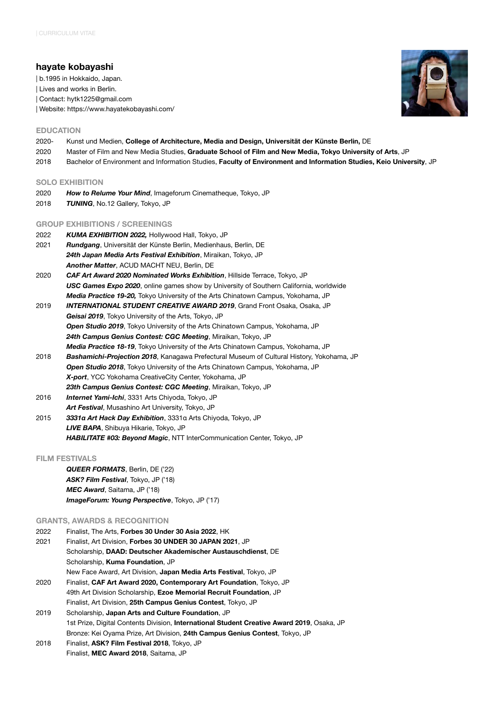# **hayate kobayashi**

| b.1995 in Hokkaido, Japan.

| Lives and works in Berlin.

| Contact: [hytk1225@gmail.com](mailto:no_reply@apple.com)

| Website: <https://www.hayatekobayashi.com/>

## **EDUCATION**

- 2020- Kunst und Medien, **College of Architecture, Media and Design, Universität der Künste Berlin,** DE
- 2020 Master of Film and New Media Studies, **Graduate School of Film and New Media, Tokyo University of Arts**, JP
- 2018 Bachelor of Environment and Information Studies, **Faculty of Environment and Information Studies, Keio University**, JP

## **SOLO EXHIBITION**

- 2020 *How to Relume Your Mind*, Imageforum Cinematheque, Tokyo, JP
- 2018 *TUNING*, No.12 Gallery, Tokyo, JP

## **GROUP EXHIBITIONS / SCREENINGS**

- 2022 *KUMA EXHIBITION 2022,* Hollywood Hall, Tokyo, JP
- 2021 *Rundgang*, Universität der Künste Berlin, Medienhaus, Berlin, DE *24th Japan Media Arts Festival Exhibition*, Miraikan, Tokyo, JP *Another Matter*, ACUD MACHT NEU, Berlin, DE
- 2020 *CAF Art Award 2020 Nominated Works Exhibition*, Hillside Terrace, Tokyo, JP *USC Games Expo 2020*, online games show by University of Southern California, worldwide *Media Practice 19-20,* Tokyo University of the Arts Chinatown Campus, Yokohama, JP
- 2019 *INTERNATIONAL STUDENT CREATIVE AWARD 2019*, Grand Front Osaka, Osaka, JP *Geisai 2019*, Tokyo University of the Arts, Tokyo, JP *Open Studio 2019*, Tokyo University of the Arts Chinatown Campus, Yokohama, JP *24th Campus Genius Contest: CGC Meeting*, Miraikan, Tokyo, JP *Media Practice 18-19*, Tokyo University of the Arts Chinatown Campus, Yokohama, JP
- 2018 *Bashamichi-Projection 2018*, Kanagawa Prefectural Museum of Cultural History, Yokohama, JP *Open Studio 2018*, Tokyo University of the Arts Chinatown Campus, Yokohama, JP *X-port*, YCC Yokohama CreativeCity Center, Yokohama, JP *23th Campus Genius Contest: CGC Meeting*, Miraikan, Tokyo, JP
- 2016 *Internet Yami-Ichi*, 3331 Arts Chiyoda, Tokyo, JP *Art Festival*, Musashino Art University, Tokyo, JP
- 2015 *3331α Art Hack Day Exhibition*, 3331α Arts Chiyoda, Tokyo, JP *LIVE BAPA*, Shibuya Hikarie, Tokyo, JP *HABILITATE #03: Beyond Magic*, NTT InterCommunication Center, Tokyo, JP

#### **FILM FESTIVALS**

*QUEER FORMATS*, Berlin, DE ('22) *ASK? Film Festival*, Tokyo, JP ('18) *MEC Award*, Saitama, JP ('18) *ImageForum: Young Perspective*, Tokyo, JP ('17)

#### **GRANTS, AWARDS & RECOGNITION**

- 2022 Finalist, The Arts, **Forbes 30 Under 30 Asia 2022**, HK 2021 Finalist, Art Division, **Forbes 30 UNDER 30 JAPAN 2021**, JP Scholarship, **DAAD: Deutscher Akademischer Austauschdienst**, DE Scholarship, **Kuma Foundation**, JP New Face Award, Art Division, **Japan Media Arts Festival**, Tokyo, JP 2020 Finalist, **CAF Art Award 2020, Contemporary Art Foundation**, Tokyo, JP
- 49th Art Division Scholarship, **Ezoe Memorial Recruit Foundation**, JP Finalist, Art Division, **25th Campus Genius Contest**, Tokyo, JP 2019 Scholarship, **Japan Arts and Culture Foundation**, JP
- 1st Prize, Digital Contents Division, **International Student Creative Award 2019**, Osaka, JP Bronze: Kei Oyama Prize, Art Division, **24th Campus Genius Contest**, Tokyo, JP
- 2018 Finalist, **ASK? Film Festival 2018**, Tokyo, JP Finalist, **MEC Award 2018**, Saitama, JP